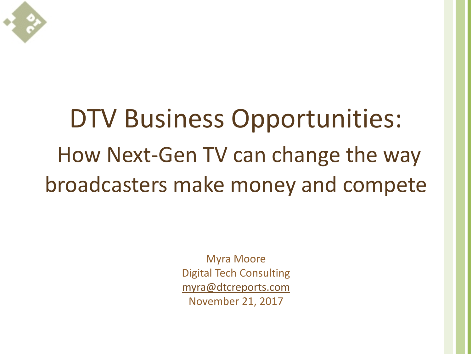

## DTV Business Opportunities: How Next-Gen TV can change the way broadcasters make money and compete

Myra Moore Digital Tech Consulting [myra@dtcreports.com](mailto:myra@dtcreports.com) November 21, 2017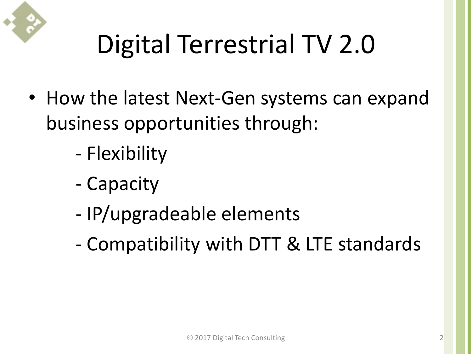

# Digital Terrestrial TV 2.0

- How the latest Next-Gen systems can expand business opportunities through:
	- Flexibility
	- Capacity
	- IP/upgradeable elements
	- Compatibility with DTT & LTE standards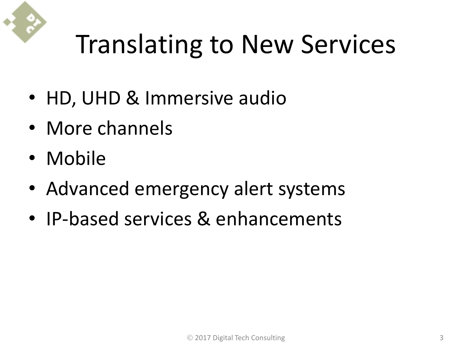# Translating to New Services

- HD, UHD & Immersive audio
- More channels
- Mobile
- Advanced emergency alert systems
- IP-based services & enhancements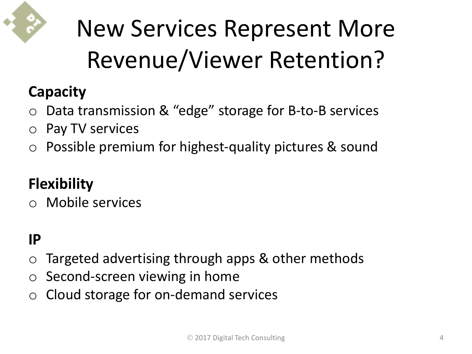

### New Services Represent More Revenue/Viewer Retention?

#### **Capacity**

- o Data transmission & "edge" storage for B-to-B services
- o Pay TV services
- o Possible premium for highest-quality pictures & sound

#### **Flexibility**

o Mobile services

#### **IP**

- Targeted advertising through apps & other methods
- o Second-screen viewing in home
- o Cloud storage for on-demand services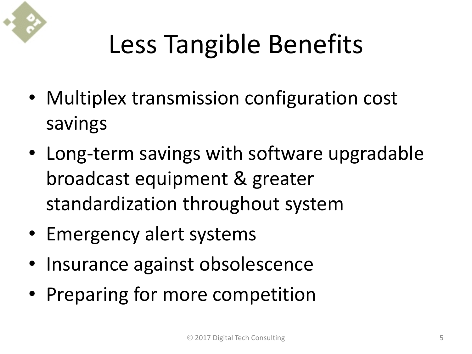

# Less Tangible Benefits

- Multiplex transmission configuration cost savings
- Long-term savings with software upgradable broadcast equipment & greater standardization throughout system
- Emergency alert systems
- Insurance against obsolescence
- Preparing for more competition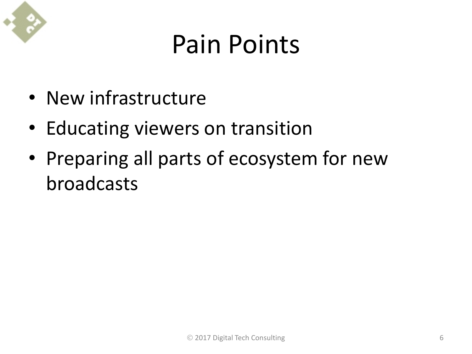

## Pain Points

- New infrastructure
- Educating viewers on transition
- Preparing all parts of ecosystem for new broadcasts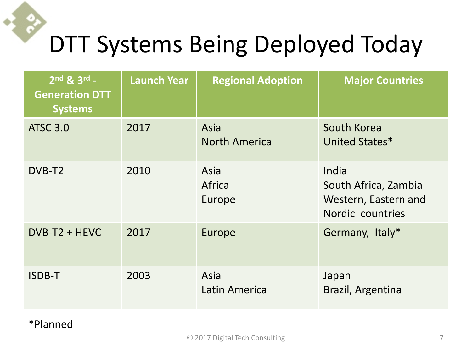#### DTT Systems Being Deployed Today

| $2^{nd}$ & $3^{rd}$ -<br><b>Generation DTT</b><br><b>Systems</b> | <b>Launch Year</b> | <b>Regional Adoption</b>     | <b>Major Countries</b>                                                    |
|------------------------------------------------------------------|--------------------|------------------------------|---------------------------------------------------------------------------|
| <b>ATSC 3.0</b>                                                  | 2017               | Asia<br><b>North America</b> | South Korea<br>United States*                                             |
| DVB-T <sub>2</sub>                                               | 2010               | Asia<br>Africa<br>Europe     | India<br>South Africa, Zambia<br>Western, Eastern and<br>Nordic countries |
| $DVB-T2 + HEVC$                                                  | 2017               | Europe                       | Germany, Italy*                                                           |
| <b>ISDB-T</b>                                                    | 2003               | Asia<br>Latin America        | Japan<br>Brazil, Argentina                                                |

#### \*Planned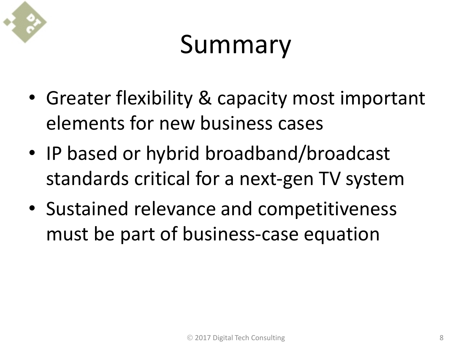

## Summary

- Greater flexibility & capacity most important elements for new business cases
- IP based or hybrid broadband/broadcast standards critical for a next-gen TV system
- Sustained relevance and competitiveness must be part of business-case equation